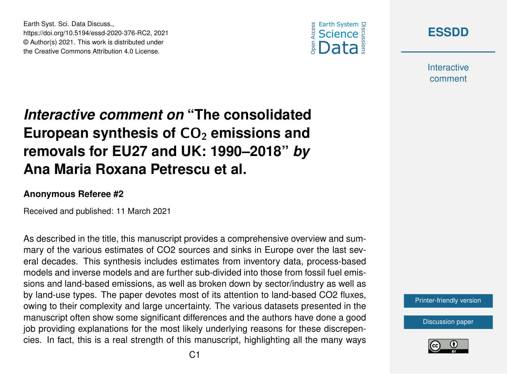



**Interactive** comment

## *Interactive comment on* **"The consolidated** European synthesis of CO<sub>2</sub> emissions and **removals for EU27 and UK: 1990–2018"** *by* **Ana Maria Roxana Petrescu et al.**

## **Anonymous Referee #2**

Earth Syst. Sci. Data Discuss.,

https://doi.org/10.5194/essd-2020-376-RC2, 2021 © Author(s) 2021. This work is distributed under the Creative Commons Attribution 4.0 License.

Received and published: 11 March 2021

As described in the title, this manuscript provides a comprehensive overview and summary of the various estimates of CO2 sources and sinks in Europe over the last several decades. This synthesis includes estimates from inventory data, process-based models and inverse models and are further sub-divided into those from fossil fuel emissions and land-based emissions, as well as broken down by sector/industry as well as by land-use types. The paper devotes most of its attention to land-based CO2 fluxes, owing to their complexity and large uncertainty. The various datasets presented in the manuscript often show some significant differences and the authors have done a good job providing explanations for the most likely underlying reasons for these discrepencies. In fact, this is a real strength of this manuscript, highlighting all the many ways

[Printer-friendly version](https://essd.copernicus.org/preprints/essd-2020-376/essd-2020-376-RC2-print.pdf)

[Discussion paper](https://essd.copernicus.org/preprints/essd-2020-376)

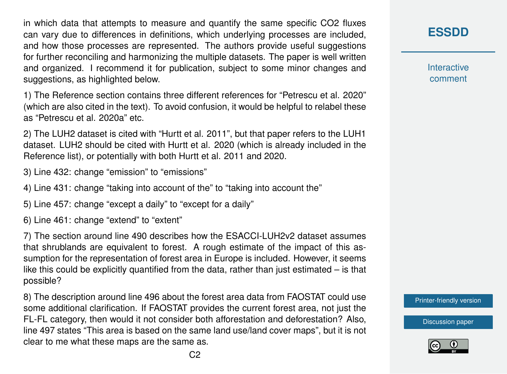in which data that attempts to measure and quantify the same specific CO2 fluxes can vary due to differences in definitions, which underlying processes are included, and how those processes are represented. The authors provide useful suggestions for further reconciling and harmonizing the multiple datasets. The paper is well written and organized. I recommend it for publication, subject to some minor changes and suggestions, as highlighted below.

1) The Reference section contains three different references for "Petrescu et al. 2020" (which are also cited in the text). To avoid confusion, it would be helpful to relabel these as "Petrescu et al. 2020a" etc.

2) The LUH2 dataset is cited with "Hurtt et al. 2011", but that paper refers to the LUH1 dataset. LUH2 should be cited with Hurtt et al. 2020 (which is already included in the Reference list), or potentially with both Hurtt et al. 2011 and 2020.

3) Line 432: change "emission" to "emissions"

4) Line 431: change "taking into account of the" to "taking into account the"

5) Line 457: change "except a daily" to "except for a daily"

6) Line 461: change "extend" to "extent"

7) The section around line 490 describes how the ESACCI-LUH2v2 dataset assumes that shrublands are equivalent to forest. A rough estimate of the impact of this assumption for the representation of forest area in Europe is included. However, it seems like this could be explicitly quantified from the data, rather than just estimated – is that possible?

8) The description around line 496 about the forest area data from FAOSTAT could use some additional clarification. If FAOSTAT provides the current forest area, not just the FL-FL category, then would it not consider both afforestation and deforestation? Also, line 497 states "This area is based on the same land use/land cover maps", but it is not clear to me what these maps are the same as.

**[ESSDD](https://essd.copernicus.org/preprints/)**

**Interactive** comment

[Printer-friendly version](https://essd.copernicus.org/preprints/essd-2020-376/essd-2020-376-RC2-print.pdf)

[Discussion paper](https://essd.copernicus.org/preprints/essd-2020-376)